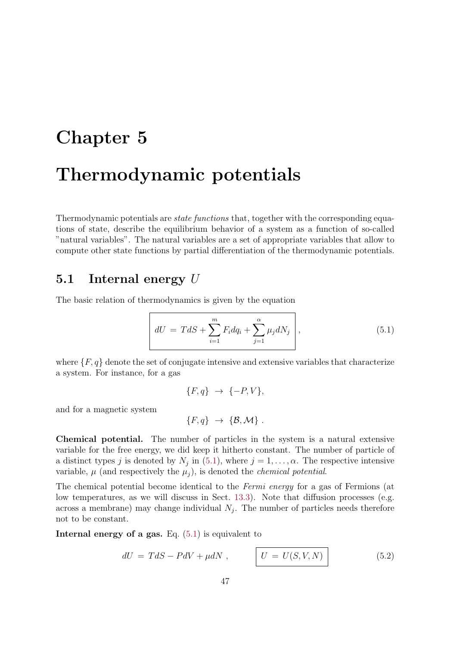# Chapter 5 Thermodynamic potentials

Thermodynamic potentials are *state functions* that, together with the corresponding equations of state, describe the equilibrium behavior of a system as a function of so-called "natural variables". The natural variables are a set of appropriate variables that allow to compute other state functions by partial differentiation of the thermodynamic potentials.

# 5.1 Internal energy U

The basic relation of thermodynamics is given by the equation

$$
dU = TdS + \sum_{i=1}^{m} F_i dq_i + \sum_{j=1}^{\alpha} \mu_j dN_j \Bigg|, \tag{5.1}
$$

where  $\{F, q\}$  denote the set of conjugate intensive and extensive variables that characterize a system. For instance, for a gas

$$
\{F,q\} \rightarrow \{-P,V\},\
$$

and for a magnetic system

$$
\{F,q\} \rightarrow \{\mathcal{B},\mathcal{M}\} .
$$

Chemical potential. The number of particles in the system is a natural extensive variable for the free energy, we did keep it hitherto constant. The number of particle of a distinct types j is denoted by  $N_j$  in (5.1), where  $j = 1, ..., \alpha$ . The respective intensive variable,  $\mu$  (and respectively the  $\mu_j$ ), is denoted the *chemical potential*.

The chemical potential become identical to the Fermi energy for a gas of Fermions (at low temperatures, as we will discuss in Sect. 13.3). Note that diffusion processes (e.g. across a membrane) may change individual  $N_i$ . The number of particles needs therefore not to be constant.

Internal energy of a gas. Eq.  $(5.1)$  is equivalent to

$$
dU = TdS - PdV + \mu dN, \qquad U = U(S, V, N) \tag{5.2}
$$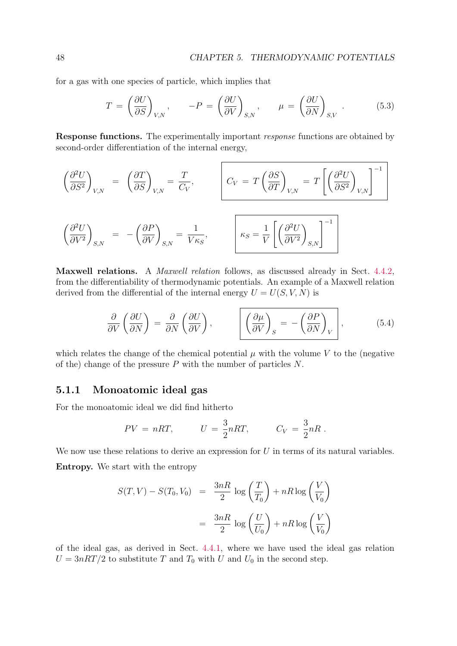for a gas with one species of particle, which implies that

$$
T = \left(\frac{\partial U}{\partial S}\right)_{V,N}, \qquad -P = \left(\frac{\partial U}{\partial V}\right)_{S,N}, \qquad \mu = \left(\frac{\partial U}{\partial N}\right)_{S,V}.
$$
 (5.3)

Response functions. The experimentally important response functions are obtained by second-order differentiation of the internal energy,

$$
\left(\frac{\partial^2 U}{\partial S^2}\right)_{V,N} = \left(\frac{\partial T}{\partial S}\right)_{V,N} = \frac{T}{C_V}, \qquad \left| C_V = T \left(\frac{\partial S}{\partial T}\right)_{V,N} = T \left[ \left(\frac{\partial^2 U}{\partial S^2}\right)_{V,N} \right]^{-1}
$$

$$
\left(\frac{\partial^2 U}{\partial V^2}\right)_{S,N} = -\left(\frac{\partial P}{\partial V}\right)_{S,N} = \frac{1}{V\kappa_S}, \qquad \left[ \kappa_S = \frac{1}{V} \left[ \left(\frac{\partial^2 U}{\partial V^2}\right)_{S,N} \right]^{-1} \right]
$$

Maxwell relations. A Maxwell relation follows, as discussed already in Sect. 4.4.2, from the differentiability of thermodynamic potentials. An example of a Maxwell relation derived from the differential of the internal energy  $U = U(S, V, N)$  is

$$
\frac{\partial}{\partial V} \left( \frac{\partial U}{\partial N} \right) = \frac{\partial}{\partial N} \left( \frac{\partial U}{\partial V} \right), \qquad \left[ \left( \frac{\partial \mu}{\partial V} \right)_S \right] = - \left( \frac{\partial P}{\partial N} \right)_V , \qquad (5.4)
$$

which relates the change of the chemical potential  $\mu$  with the volume V to the (negative of the) change of the pressure  $P$  with the number of particles  $N$ .

## 5.1.1 Monoatomic ideal gas

For the monoatomic ideal we did find hitherto

$$
PV = nRT, \qquad U = \frac{3}{2}nRT, \qquad C_V = \frac{3}{2}nR.
$$

We now use these relations to derive an expression for  $U$  in terms of its natural variables. Entropy. We start with the entropy

$$
S(T, V) - S(T_0, V_0) = \frac{3nR}{2} \log \left(\frac{T}{T_0}\right) + nR \log \left(\frac{V}{V_0}\right)
$$

$$
= \frac{3nR}{2} \log \left(\frac{U}{U_0}\right) + nR \log \left(\frac{V}{V_0}\right)
$$

of the ideal gas, as derived in Sect. 4.4.1, where we have used the ideal gas relation  $U = 3nRT/2$  to substitute T and  $T_0$  with U and  $U_0$  in the second step.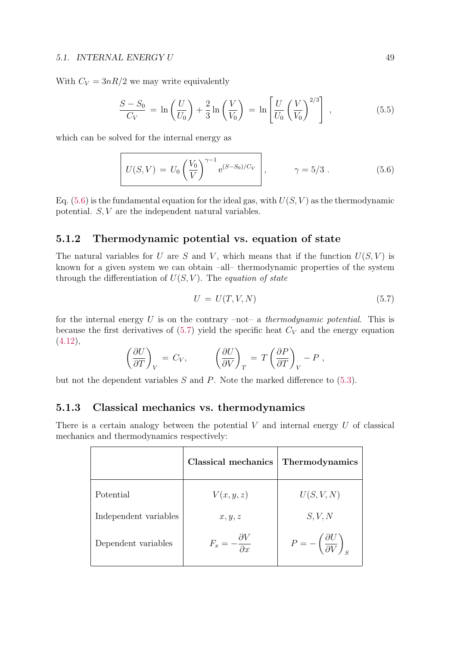#### 5.1. INTERNAL ENERGY U 49

With  $C_V = 3nR/2$  we may write equivalently

$$
\frac{S-S_0}{C_V} = \ln\left(\frac{U}{U_0}\right) + \frac{2}{3}\ln\left(\frac{V}{V_0}\right) = \ln\left[\frac{U}{U_0}\left(\frac{V}{V_0}\right)^{2/3}\right],\tag{5.5}
$$

which can be solved for the internal energy as

$$
U(S,V) = U_0 \left(\frac{V_0}{V}\right)^{\gamma - 1} e^{(S - S_0)/C_V}, \qquad \gamma = 5/3.
$$
 (5.6)

Eq.  $(5.6)$  is the fundamental equation for the ideal gas, with  $U(S, V)$  as the thermodynamic potential. S, V are the independent natural variables.

#### 5.1.2 Thermodynamic potential vs. equation of state

The natural variables for U are S and V, which means that if the function  $U(S, V)$  is known for a given system we can obtain –all– thermodynamic properties of the system through the differentiation of  $U(S, V)$ . The equation of state

$$
U = U(T, V, N) \tag{5.7}
$$

for the internal energy U is on the contrary –not– a thermodynamic potential. This is because the first derivatives of  $(5.7)$  yield the specific heat  $C_V$  and the energy equation  $(4.12),$ 

$$
\left(\frac{\partial U}{\partial T}\right)_V = C_V, \qquad \left(\frac{\partial U}{\partial V}\right)_T = T\left(\frac{\partial P}{\partial T}\right)_V - P,
$$

but not the dependent variables  $S$  and  $P$ . Note the marked difference to  $(5.3)$ .

### 5.1.3 Classical mechanics vs. thermodynamics

There is a certain analogy between the potential  $V$  and internal energy  $U$  of classical mechanics and thermodynamics respectively:

|                       | <b>Classical mechanics</b>                  | Thermodynamics                                             |
|-----------------------|---------------------------------------------|------------------------------------------------------------|
| Potential             | V(x, y, z)                                  | U(S, V, N)                                                 |
| Independent variables | x, y, z                                     | S, V, N                                                    |
| Dependent variables   | $-\frac{\partial V}{\partial x}$<br>$F_x =$ | $P = -\left(\frac{\partial U}{\partial V}\right)_{\alpha}$ |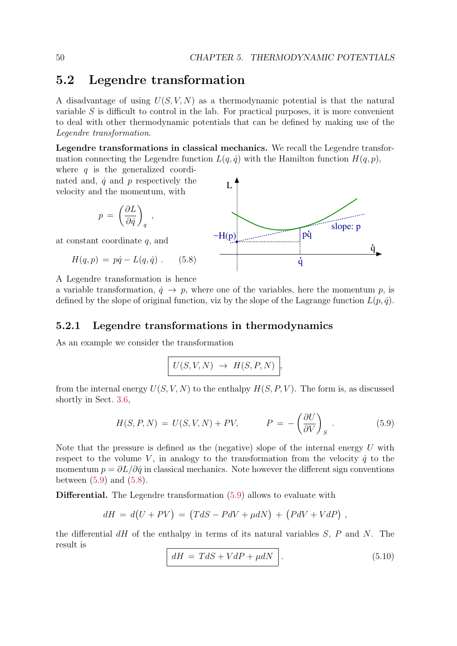## 5.2 Legendre transformation

A disadvantage of using  $U(S, V, N)$  as a thermodynamic potential is that the natural variable S is difficult to control in the lab. For practical purposes, it is more convenient to deal with other thermodynamic potentials that can be defined by making use of the Legendre transformation.

Legendre transformations in classical mechanics. We recall the Legendre transformation connecting the Legendre function  $L(q, \dot{q})$  with the Hamilton function  $H(q, p)$ ,

where  $q$  is the generalized coordinated and,  $\dot{q}$  and p respectively the velocity and the momentum, with

$$
p = \left(\frac{\partial L}{\partial \dot{q}}\right)_q
$$

at constant coordinate q, and

$$
H(q, p) = p\dot{q} - L(q, \dot{q}) . \qquad (5.8)
$$

,

A Legendre transformation is hence

a variable transformation,  $\dot{q} \rightarrow p$ , where one of the variables, here the momentum p, is defined by the slope of original function, viz by the slope of the Lagrange function  $L(p, \dot{q})$ .

#### 5.2.1 Legendre transformations in thermodynamics

As an example we consider the transformation

$$
U(S, V, N) \rightarrow H(S, P, N),
$$

from the internal energy  $U(S, V, N)$  to the enthalpy  $H(S, P, V)$ . The form is, as discussed shortly in Sect. 3.6,

$$
H(S, P, N) = U(S, V, N) + PV, \qquad P = -\left(\frac{\partial U}{\partial V}\right)_S.
$$
 (5.9)

Note that the pressure is defined as the (negative) slope of the internal energy  $U$  with respect to the volume V, in analogy to the transformation from the velocity  $\dot{q}$  to the momentum  $p = \partial L/\partial \dot{q}$  in classical mechanics. Note however the different sign conventions between  $(5.9)$  and  $(5.8)$ .

Differential. The Legendre transformation (5.9) allows to evaluate with

$$
dH = d(U + PV) = (TdS - PdV + \mu dN) + (PdV + VdP),
$$

the differential  $dH$  of the enthalpy in terms of its natural variables S, P and N. The result is

$$
dH = TdS + VdP + \mu dN \tag{5.10}
$$



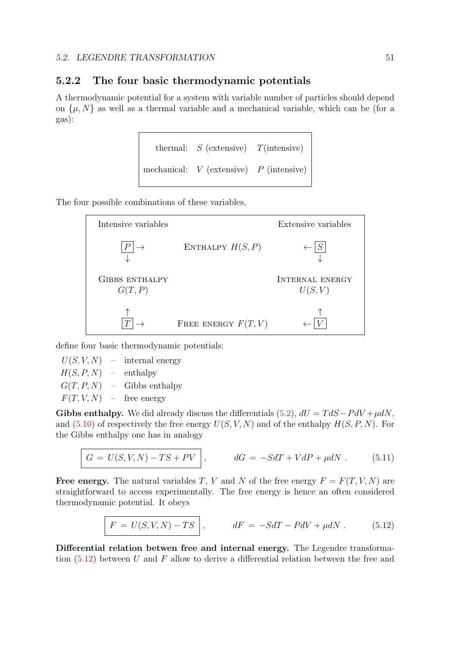#### 5.2.2 The four basic thermodynamic potentials

A thermodynamic potential for a system with variable number of particles should depend on  $\{\mu, N\}$  as well as a thermal variable and a mechanical variable, which can be (for a gas):

```
thermal: S (extensive) T(intensive)
mechanical: V (extensive) P (intensive)
```
The four possible combinations of these variables,



define four basic thermodynamic potentials:

 $U(S, V, N)$  – internal energy  $H(S, P, N)$  – enthalpy  $G(T, P, N)$  – Gibbs enthalpy  $F(T, V, N)$  – free energy

Gibbs enthalpy. We did already discuss the differentials (5.2),  $dU = T dS - P dV + \mu dN$ , and (5.10) of respectively the free energy  $U(S, V, N)$  and of the enthalpy  $H(S, P, N)$ . For the Gibbs enthalpy one has in analogy

$$
G = U(S, V, N) - TS + PV,
$$
  

$$
dG = -SdT + VdP + \mu dN.
$$
 (5.11)

Free energy. The natural variables T, V and N of the free energy  $F = F(T, V, N)$  are straightforward to access experimentally. The free energy is hence an often considered thermodynamic potential. It obeys

$$
F = U(S, V, N) - TS
$$
,  $dF = -SdT - PdV + \mu dN$ . (5.12)

Differential relation betwen free and internal energy. The Legendre transformation  $(5.12)$  between U and F allow to derive a differential relation between the free and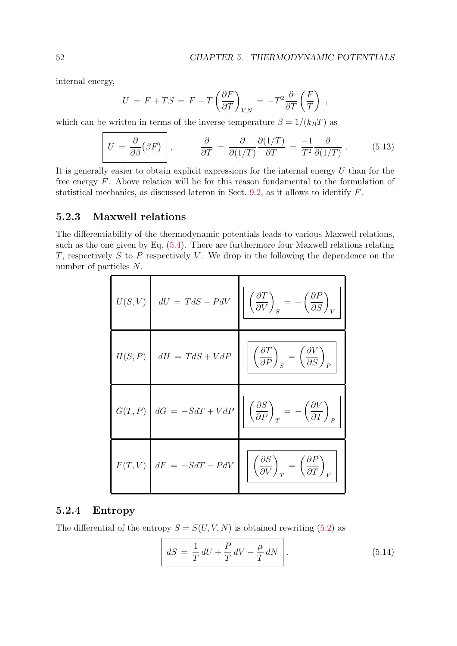internal energy,

$$
U = F + TS = F - T \left(\frac{\partial F}{\partial T}\right)_{V,N} = -T^2 \frac{\partial}{\partial T} \left(\frac{F}{T}\right) ,
$$

which can be written in terms of the inverse temperature  $\beta = 1/(k_BT)$  as

$$
U = \frac{\partial}{\partial \beta} (\beta F) \,, \qquad \frac{\partial}{\partial T} = \frac{\partial}{\partial (1/T)} \frac{\partial (1/T)}{\partial T} = \frac{-1}{T^2} \frac{\partial}{\partial (1/T)} \,. \tag{5.13}
$$

It is generally easier to obtain explicit expressions for the internal energy  $U$  than for the free energy F. Above relation will be for this reason fundamental to the formulation of statistical mechanics, as discussed lateron in Sect. 9.2, as it allows to identify F.

## 5.2.3 Maxwell relations

The differentiability of the thermodynamic potentials leads to various Maxwell relations, such as the one given by Eq. (5.4). There are furthermore four Maxwell relations relating T, respectively S to P respectively V. We drop in the following the dependence on the number of particles N.

|         | $U(S, V)$ $dU = TdS - PdV$ | $\left(\frac{\partial T}{\partial V}\right)_S = -\left(\frac{\partial P}{\partial S}\right)_V$                                                |
|---------|----------------------------|-----------------------------------------------------------------------------------------------------------------------------------------------|
| H(S, P) | $dH = TdS + VdP$           | $\left(\frac{\partial T}{\partial P}\right)_S = \left(\frac{\partial V}{\partial S}\right)_P$                                                 |
|         |                            | $G(T, P)$ $dG = -SdT + VdP$ $\left  \left( \frac{\partial S}{\partial P} \right)_T = -\left( \frac{\partial V}{\partial T} \right)_P \right $ |
|         |                            | $F(T,V)$ $dF = -SdT - PdV$ $\Big $ $\left(\frac{\partial S}{\partial V}\right)_T = \left(\frac{\partial P}{\partial T}\right)_V$              |

### 5.2.4 Entropy

The differential of the entropy  $S = S(U, V, N)$  is obtained rewriting (5.2) as

$$
dS = \frac{1}{T}dU + \frac{P}{T}dV - \frac{\mu}{T}dN \qquad (5.14)
$$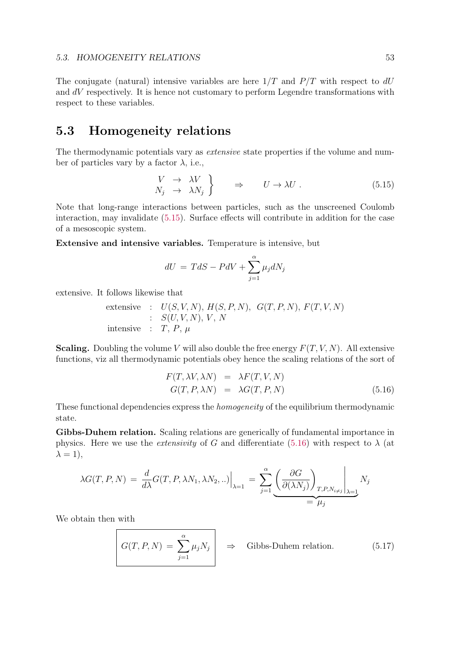The conjugate (natural) intensive variables are here  $1/T$  and  $P/T$  with respect to dU and  $dV$  respectively. It is hence not customary to perform Legendre transformations with respect to these variables.

# 5.3 Homogeneity relations

The thermodynamic potentials vary as *extensive* state properties if the volume and number of particles vary by a factor  $\lambda$ , i.e.,

$$
\begin{array}{ccc}\nV & \to & \lambda V \\
N_j & \to & \lambda N_j\n\end{array}\n\Big\} \qquad \Rightarrow \qquad U \to \lambda U \ . \tag{5.15}
$$

Note that long-range interactions between particles, such as the unscreened Coulomb interaction, may invalidate (5.15). Surface effects will contribute in addition for the case of a mesoscopic system.

Extensive and intensive variables. Temperature is intensive, but

$$
dU = TdS - PdV + \sum_{j=1}^{\alpha} \mu_j dN_j
$$

extensive. It follows likewise that

extensive :  $U(S, V, N), H(S, P, N), G(T, P, N), F(T, V, N)$  $\colon S(U, V, N), V, N$ intensive :  $T, P, \mu$ 

**Scaling.** Doubling the volume V will also double the free energy  $F(T, V, N)$ . All extensive functions, viz all thermodynamic potentials obey hence the scaling relations of the sort of

$$
F(T, \lambda V, \lambda N) = \lambda F(T, V, N)
$$
  
\n
$$
G(T, P, \lambda N) = \lambda G(T, P, N)
$$
\n(5.16)

These functional dependencies express the homogeneity of the equilibrium thermodynamic state.

Gibbs-Duhem relation. Scaling relations are generically of fundamental importance in physics. Here we use the *extensivity* of G and differentiate (5.16) with respect to  $\lambda$  (at  $\lambda = 1$ ),

$$
\lambda G(T, P, N) = \frac{d}{d\lambda} G(T, P, \lambda N_1, \lambda N_2, ..) \Big|_{\lambda=1} = \sum_{j=1}^{\alpha} \underbrace{\left(\frac{\partial G}{\partial (\lambda N_j)}\right)}_{= \mu_j} r_{j} N_{i \neq j} \Big|_{\lambda=1} N_j
$$

We obtain then with

$$
G(T, P, N) = \sum_{j=1}^{a} \mu_j N_j \qquad \Rightarrow \qquad \text{Gibbs-Duhem relation.} \tag{5.17}
$$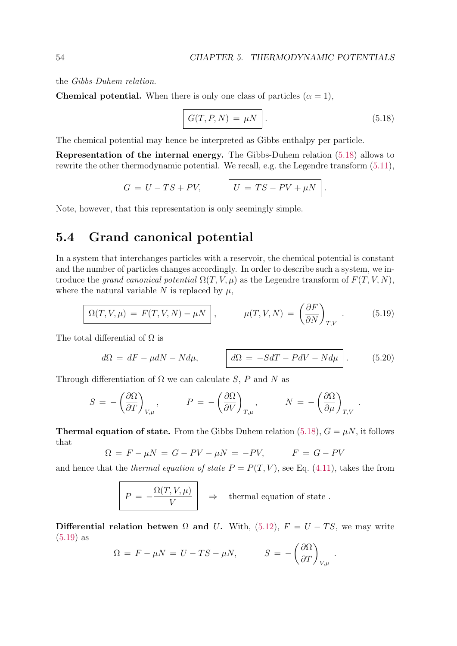the Gibbs-Duhem relation.

**Chemical potential.** When there is only one class of particles  $(\alpha = 1)$ ,

$$
G(T, P, N) = \mu N \tag{5.18}
$$

The chemical potential may hence be interpreted as Gibbs enthalpy per particle.

Representation of the internal energy. The Gibbs-Duhem relation (5.18) allows to rewrite the other thermodynamic potential. We recall, e.g. the Legendre transform (5.11),

$$
G = U - TS + PV, \qquad \boxed{U = TS - PV + \mu N}.
$$

Note, however, that this representation is only seemingly simple.

## 5.4 Grand canonical potential

In a system that interchanges particles with a reservoir, the chemical potential is constant and the number of particles changes accordingly. In order to describe such a system, we introduce the grand canonical potential  $\Omega(T, V, \mu)$  as the Legendre transform of  $F(T, V, N)$ , where the natural variable N is replaced by  $\mu$ ,

$$
\Omega(T, V, \mu) = F(T, V, N) - \mu N \,, \qquad \mu(T, V, N) = \left(\frac{\partial F}{\partial N}\right)_{T, V} \,. \tag{5.19}
$$

The total differential of  $\Omega$  is

$$
d\Omega = dF - \mu dN - N d\mu, \qquad d\Omega = -SdT - PdV - N d\mu \qquad (5.20)
$$

Through differentiation of  $\Omega$  we can calculate S, P and N as

$$
S = -\left(\frac{\partial \Omega}{\partial T}\right)_{V,\mu}, \qquad P = -\left(\frac{\partial \Omega}{\partial V}\right)_{T,\mu}, \qquad N = -\left(\frac{\partial \Omega}{\partial \mu}\right)_{T,V}.
$$

**Thermal equation of state.** From the Gibbs Duhem relation (5.18),  $G = \mu N$ , it follows that

$$
\Omega = F - \mu N = G - PV - \mu N = -PV, \qquad F = G - PV
$$

and hence that the *thermal equation of state*  $P = P(T, V)$ , see Eq. (4.11), takes the from

$$
P = -\frac{\Omega(T, V, \mu)}{V} \quad \Rightarrow \quad \text{thermal equation of state}.
$$

Differential relation betwen  $\Omega$  and U. With, (5.12),  $F = U - TS$ , we may write (5.19) as

$$
\Omega = F - \mu N = U - TS - \mu N, \qquad S = -\left(\frac{\partial \Omega}{\partial T}\right)_{V,\mu}.
$$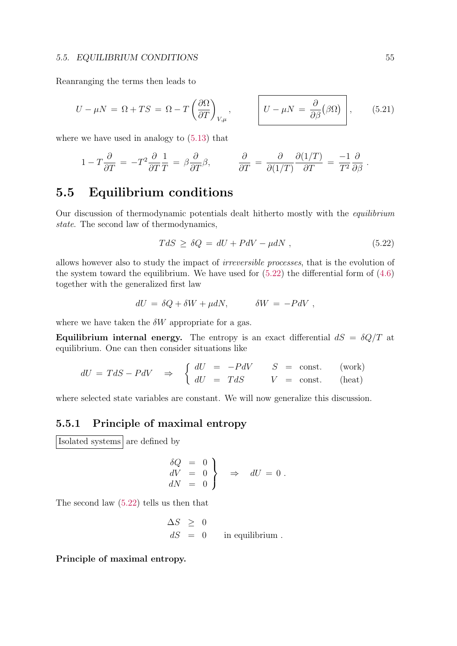Reanranging the terms then leads to

$$
U - \mu N = \Omega + TS = \Omega - T \left(\frac{\partial \Omega}{\partial T}\right)_{V,\mu}, \qquad U - \mu N = \frac{\partial}{\partial \beta} (\beta \Omega) \qquad (5.21)
$$

where we have used in analogy to (5.13) that

$$
1 - T\frac{\partial}{\partial T} = -T^2 \frac{\partial}{\partial T} \frac{1}{T} = \beta \frac{\partial}{\partial T} \beta, \qquad \frac{\partial}{\partial T} = \frac{\partial}{\partial (1/T)} \frac{\partial (1/T)}{\partial T} = \frac{-1}{T^2} \frac{\partial}{\partial \beta}.
$$

# 5.5 Equilibrium conditions

Our discussion of thermodynamic potentials dealt hitherto mostly with the equilibrium state. The second law of thermodynamics,

$$
TdS \ge \delta Q = dU + PdV - \mu dN , \qquad (5.22)
$$

allows however also to study the impact of irreversible processes, that is the evolution of the system toward the equilibrium. We have used for  $(5.22)$  the differential form of  $(4.6)$ together with the generalized first law

$$
dU = \delta Q + \delta W + \mu dN, \qquad \delta W = -PdV,
$$

where we have taken the  $\delta W$  appropriate for a gas.

Equilibrium internal energy. The entropy is an exact differential  $dS = \delta Q/T$  at equilibrium. One can then consider situations like

$$
dU = TdS - PdV \Rightarrow \begin{cases} dU = -PdV & S = \text{const.} \\ dU = TdS & V = \text{const.} \end{cases} \text{ (work)}
$$

where selected state variables are constant. We will now generalize this discussion.

#### 5.5.1 Principle of maximal entropy

Isolated systems are defined by

$$
\begin{array}{rcl}\n\delta Q & = & 0 \\
dV & = & 0 \\
dN & = & 0\n\end{array}\n\bigg\} \quad \Rightarrow \quad dU = 0 .
$$

The second law (5.22) tells us then that

$$
\begin{array}{rcl}\n\Delta S & \geq & 0 \\
dS & = & 0 \qquad \text{in equilibrium} \; .\n\end{array}
$$

Principle of maximal entropy.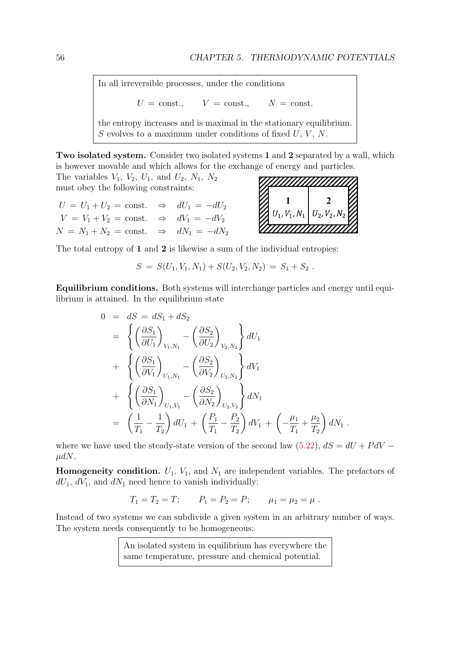In all irreversible processes, under the conditions

 $U = \text{const.}, \qquad V = \text{const.}, \qquad N = \text{const.}$ 

the entropy increases and is maximal in the stationary equilibrium.  $S$  evolves to a maximum under conditions of fixed  $U, V, N$ .

Two isolated system. Consider two isolated systems 1 and 2 separated by a wall, which is however movable and which allows for the exchange of energy and particles.

The variables  $V_1$ ,  $V_2$ ,  $U_1$ , and  $U_2$ ,  $N_1$ ,  $N_2$ must obey the following constraints:

 $U = U_1 + U_2 = \text{const.} \Rightarrow dU_1 = -dU_2$  $V = V_1 + V_2 = \text{const.} \Rightarrow dV_1 = -dV_2$  $N = N_1 + N_2 = \text{const.} \Rightarrow dN_1 = -dN_2$ 

| <u>IIIIIIIIIIIIIIIII</u> IX        |
|------------------------------------|
|                                    |
| $U_1, V_1, N_1 \mid U_2, V_2, N_2$ |
|                                    |

The total entropy of 1 and 2 is likewise a sum of the individual entropies:

 $S = S(U_1, V_1, N_1) + S(U_2, V_2, N_2) = S_1 + S_2$ .

Equilibrium conditions. Both systems will interchange particles and energy until equilibrium is attained. In the equilibrium state

$$
0 = dS = dS_1 + dS_2
$$
  
\n
$$
= \left\{ \left( \frac{\partial S_1}{\partial U_1} \right)_{V_1, N_1} - \left( \frac{\partial S_2}{\partial U_2} \right)_{V_2, N_2} \right\} dU_1
$$
  
\n
$$
+ \left\{ \left( \frac{\partial S_1}{\partial V_1} \right)_{U_1, N_1} - \left( \frac{\partial S_2}{\partial V_2} \right)_{U_2, N_2} \right\} dV_1
$$
  
\n
$$
+ \left\{ \left( \frac{\partial S_1}{\partial N_1} \right)_{U_1, V_1} - \left( \frac{\partial S_2}{\partial N_2} \right)_{U_2, V_2} \right\} dN_1
$$
  
\n
$$
= \left( \frac{1}{T_1} - \frac{1}{T_2} \right) dU_1 + \left( \frac{P_1}{T_1} - \frac{P_2}{T_2} \right) dV_1 + \left( -\frac{\mu_1}{T_1} + \frac{\mu_2}{T_2} \right) dN_1.
$$

where we have used the steady-state version of the second law (5.22),  $dS = dU + P dV$  –  $\mu dN$ .

**Homogeneity condition.**  $U_1$ ,  $V_1$ , and  $N_1$  are independent variables. The prefactors of  $dU_1, dV_1$ , and  $dN_1$  need hence to vanish individually:

$$
T_1 = T_2 = T;
$$
  $P_1 = P_2 = P;$   $\mu_1 = \mu_2 = \mu.$ 

Instead of two systems we can subdivide a given system in an arbitrary number of ways. The system needs consequently to be homogeneous:

> An isolated system in equilibrium has everywhere the same temperature, pressure and chemical potential.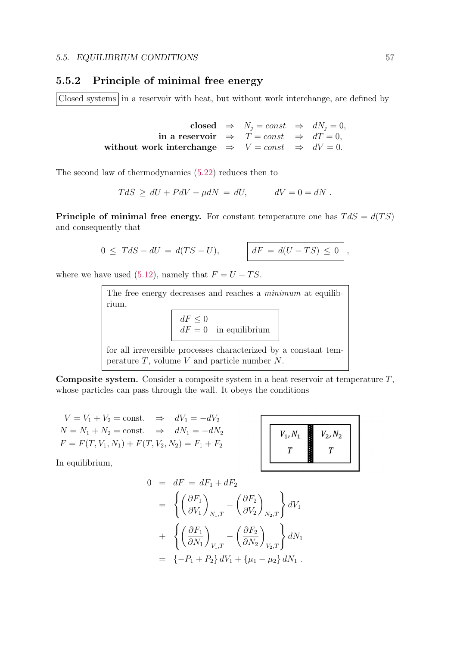## 5.5.2 Principle of minimal free energy

Closed systems in a reservoir with heat, but without work interchange, are defined by

closed  $\Rightarrow N_j = const \Rightarrow dN_j = 0,$ in a reservoir  $\Rightarrow$   $T = const \Rightarrow dT = 0$ , without work interchange  $\Rightarrow V = const \Rightarrow dV = 0$ .

The second law of thermodynamics (5.22) reduces then to

$$
TdS \ge dU + PdV - \mu dN = dU, \qquad dV = 0 = dN.
$$

Principle of minimal free energy. For constant temperature one has  $TdS = d(TS)$ and consequently that

$$
0 \leq TdS - dU = d(TS - U), \qquad \boxed{dF = d(U - TS) \leq 0},
$$

where we have used (5.12), namely that  $F = U - TS$ .

|       | The free energy decreases and reaches a <i>minimum</i> at equilib-                                                     |
|-------|------------------------------------------------------------------------------------------------------------------------|
| rium, |                                                                                                                        |
|       | $dF \leq 0$<br>$dF = 0$ in equilibrium                                                                                 |
|       | for all irreversible processes characterized by a constant tem-<br>perature $T$ , volume $V$ and particle number $N$ . |

**Composite system.** Consider a composite system in a heat reservoir at temperature  $T$ , whose particles can pass through the wall. It obeys the conditions

 $V = V_1 + V_2 = \text{const.} \Rightarrow dV_1 = -dV_2$  $N = N_1 + N_2 = \text{const.}$   $\Rightarrow$   $dN_1 = -dN_2$  $F = F(T, V_1, N_1) + F(T, V_2, N_2) = F_1 + F_2$ 

In equilibrium,

 $V_1, N_1$  $V_2, N_2$  $\overline{T}$  $T$ 

$$
0 = dF = dF_1 + dF_2
$$
  
\n
$$
= \left\{ \left( \frac{\partial F_1}{\partial V_1} \right)_{N_1, T} - \left( \frac{\partial F_2}{\partial V_2} \right)_{N_2, T} \right\} dV_1
$$
  
\n
$$
+ \left\{ \left( \frac{\partial F_1}{\partial N_1} \right)_{V_1, T} - \left( \frac{\partial F_2}{\partial N_2} \right)_{V_2, T} \right\} dN_1
$$
  
\n
$$
= \{-P_1 + P_2\} dV_1 + \{\mu_1 - \mu_2\} dN_1.
$$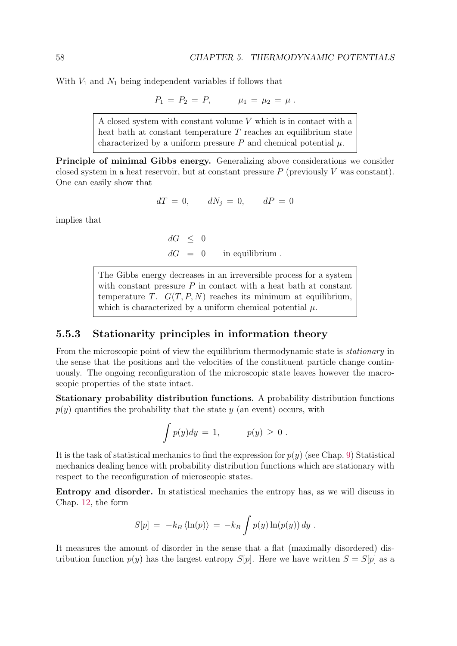With  $V_1$  and  $N_1$  being independent variables if follows that

 $P_1 = P_2 = P$ ,  $\mu_1 = \mu_2 = \mu$ .

A closed system with constant volume  $V$  which is in contact with a heat bath at constant temperature  $T$  reaches an equilibrium state characterized by a uniform pressure P and chemical potential  $\mu$ .

Principle of minimal Gibbs energy. Generalizing above considerations we consider closed system in a heat reservoir, but at constant pressure  $P$  (previously V was constant). One can easily show that

$$
dT = 0, \qquad dN_j = 0, \qquad dP = 0
$$

implies that

 $dG \leq 0$  $dG = 0$  in equilibrium.

The Gibbs energy decreases in an irreversible process for a system with constant pressure  $P$  in contact with a heat bath at constant temperature T.  $G(T, P, N)$  reaches its minimum at equilibrium, which is characterized by a uniform chemical potential  $\mu$ .

### 5.5.3 Stationarity principles in information theory

From the microscopic point of view the equilibrium thermodynamic state is *stationary* in the sense that the positions and the velocities of the constituent particle change continuously. The ongoing reconfiguration of the microscopic state leaves however the macroscopic properties of the state intact.

Stationary probability distribution functions. A probability distribution functions  $p(y)$  quantifies the probability that the state y (an event) occurs, with

$$
\int p(y)dy = 1, \qquad p(y) \geq 0.
$$

It is the task of statistical mechanics to find the expression for  $p(y)$  (see Chap. 9) Statistical mechanics dealing hence with probability distribution functions which are stationary with respect to the reconfiguration of microscopic states.

Entropy and disorder. In statistical mechanics the entropy has, as we will discuss in Chap. 12, the form

$$
S[p] = -k_B \langle \ln(p) \rangle = -k_B \int p(y) \ln(p(y)) dy.
$$

It measures the amount of disorder in the sense that a flat (maximally disordered) distribution function  $p(y)$  has the largest entropy  $S[p]$ . Here we have written  $S = S[p]$  as a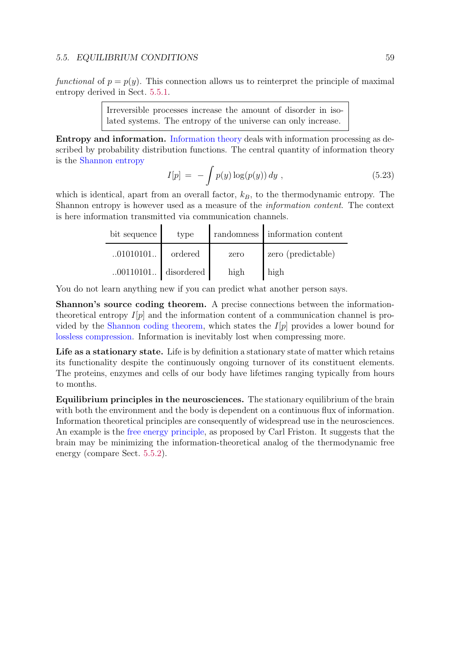#### 5.5. EQUILIBRIUM CONDITIONS 59

functional of  $p = p(y)$ . This connection allows us to reinterpret the principle of maximal entropy derived in Sect. 5.5.1.

> Irreversible processes increase the amount of disorder in isolated systems. The entropy of the universe can only increase.

Entropy and information. Information theory deals with information processing as described by probability distribution functions. The central quantity of information theory is the Shannon entropy

$$
I[p] = -\int p(y) \log(p(y)) \, dy \,, \tag{5.23}
$$

which is identical, apart from an overall factor,  $k_B$ , to the thermodynamic entropy. The Shannon entropy is however used as a measure of the information content. The context is here information transmitted via communication channels.

 $\blacksquare$ 

| bit sequence | type       |      | randomness information content |
|--------------|------------|------|--------------------------------|
| 0.01010101   | ordered    | zero | zero (predictable)             |
| 0.00110101.  | disordered | high | high                           |

You do not learn anything new if you can predict what another person says.

Shannon's source coding theorem. A precise connections between the informationtheoretical entropy  $I[p]$  and the information content of a communication channel is provided by the Shannon coding theorem, which states the  $I[p]$  provides a lower bound for lossless compression. Information is inevitably lost when compressing more.

Life as a stationary state. Life is by definition a stationary state of matter which retains its functionality despite the continuously ongoing turnover of its constituent elements. The proteins, enzymes and cells of our body have lifetimes ranging typically from hours to months.

Equilibrium principles in the neurosciences. The stationary equilibrium of the brain with both the environment and the body is dependent on a continuous flux of information. Information theoretical principles are consequently of widespread use in the neurosciences. An example is the free energy principle, as proposed by Carl Friston. It suggests that the brain may be minimizing the information-theoretical analog of the thermodynamic free energy (compare Sect. 5.5.2).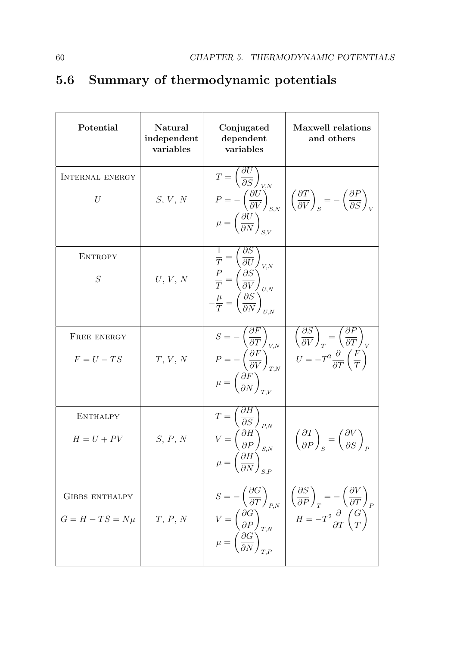#### Summary of thermodynamic potentials  $5.6$

| Potential                                    | <b>Natural</b><br>independent<br>variables | Conjugated<br>dependent<br>variables                                                                                                                                                                                 | <b>Maxwell relations</b><br>and others                                                                                                                                                                                                                                                                                                                                                                                                     |
|----------------------------------------------|--------------------------------------------|----------------------------------------------------------------------------------------------------------------------------------------------------------------------------------------------------------------------|--------------------------------------------------------------------------------------------------------------------------------------------------------------------------------------------------------------------------------------------------------------------------------------------------------------------------------------------------------------------------------------------------------------------------------------------|
| INTERNAL ENERGY<br>$\mathcal{U}$             | S, V, N                                    | $\overline{T=\left(\frac{\partial U}{\partial S}\right)_{V,N}}$<br>$\mu = \left(\frac{\partial U}{\partial N}\right)_{S.V}$                                                                                          | $P = -\left(\frac{\partial U}{\partial V}\right)_{S N} \left  \left(\frac{\partial T}{\partial V}\right)_{S} \right  = -\left(\frac{\partial P}{\partial S}\right)_{V}$                                                                                                                                                                                                                                                                    |
| <b>ENTROPY</b><br>S                          | U, V, N                                    | $\overline{\frac{1}{T}=\left(\frac{\partial S}{\partial U}\right)_{V,N}}$<br>$\frac{P}{T} = \left(\frac{\partial S}{\partial V}\right)_{U,N}$<br>$-\frac{\mu}{T} = \left(\frac{\partial S}{\partial N}\right)_{IIN}$ |                                                                                                                                                                                                                                                                                                                                                                                                                                            |
| FREE ENERGY<br>$F = U - TS$                  | T, V, N                                    | $\label{eq:2.1} \overline{S}=-\left(\frac{\partial F}{\partial T}\right)_{V,N}$<br>$\mu = \left(\frac{\partial F}{\partial N}\right)_{\text{min}}$                                                                   | $\left(\frac{\partial S}{\partial V}\right)_T = \left(\frac{\partial P}{\partial T}\right)_V$<br>$P = -\left(\frac{\partial F}{\partial V}\right)_{T,N}^{V,\alpha} \left  U = -T^2 \frac{\partial}{\partial T} \left(\frac{\dot{F}}{T}\right)^2 \right $                                                                                                                                                                                   |
| <b>ENTHALPY</b><br>$H = U + PV$              | S, P, N                                    | $\overline{T=\left(\frac{\partial H}{\partial S}\right)_{P,N}}$<br>$V = \left(\frac{\partial H}{\partial P}\right)_{S,N}$<br>$\mu = \left(\frac{\partial H}{\partial N}\right)_{S,P}$                                | $\left(\frac{\partial T}{\partial P}\right)_S = \left(\frac{\partial V}{\partial S}\right)_P$                                                                                                                                                                                                                                                                                                                                              |
| <b>GIBBS ENTHALPY</b><br>$G = H - TS = N\mu$ | $T,\,P,\,N$                                | $\overline{S=-\left(\frac{\partial G}{\partial T}\right)_{P,N}}$                                                                                                                                                     | $\left(\frac{\partial S}{\partial P}\right)_T = -\left(\frac{\partial V}{\partial T}\right)_P$<br>$\begin{array}{l} V=\left(\frac{\partial G}{\partial P}\right)^{1\rightarrow N}_{T,N} \\ \mu=\left(\frac{\partial G}{\partial N}\right)^{T,P} \end{array} \Bigg  \begin{array}{l} \left(\begin{array}{c}I\\H=-T^2\frac{\partial}{\partial T}\left(\frac{G}{T}\right)\right) \\ \left(\begin{array}{c}I\\T\end{array}\right) \end{array}$ |